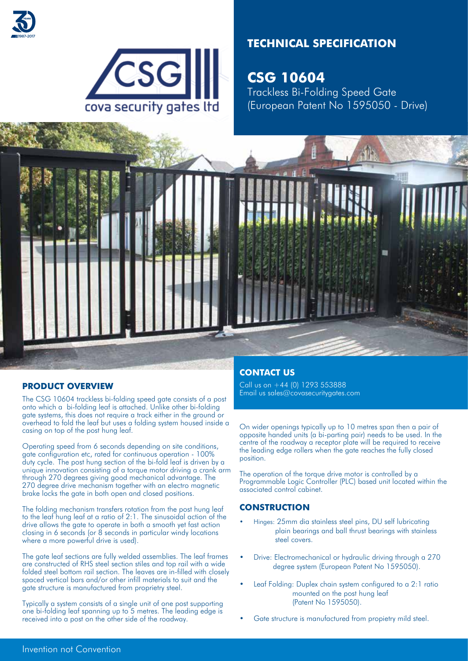



# **TECHNICAL SPECIFICATION**

**CSG 10604** Trackless Bi-Folding Speed Gate (European Patent No 1595050 - Drive)



# **PRODUCT OVERVIEW**

The CSG 10604 trackless bi-folding speed gate consists of a post onto which a bi-folding leaf is attached. Unlike other bi-folding gate systems, this does not require a track either in the ground or overhead to fold the leaf but uses a folding system housed inside a casing on top of the post hung leaf.

Operating speed from 6 seconds depending on site conditions, gate configuration etc, rated for continuous operation - 100% duty cycle. The post hung section of the bi-fold leaf is driven by a unique innovation consisting of a torque motor driving a crank arm through 270 degrees giving good mechanical advantage. The 270 degree drive mechanism together with an electro magnetic brake locks the gate in both open and closed positions.

The folding mechanism transfers rotation from the post hung leaf to the leaf hung leaf at a ratio of 2:1. The sinusoidal action of the drive allows the gate to operate in both a smooth yet fast action closing in 6 seconds (or 8 seconds in particular windy locations where a more powerful drive is used).

The gate leaf sections are fully welded assemblies. The leaf frames are constructed of RHS steel section stiles and top rail with a wide folded steel bottom rail section. The leaves are in-filled with closely spaced vertical bars and/or other infill materials to suit and the gate structure is manufactured from proprietry steel.

Typically a system consists of a single unit of one post supporting one bi-folding leaf spanning up to 5 metres. The leading edge is received into a post on the other side of the roadway.

# **CONTACT US**

Call us on +44 (0) 1293 553888 Email us sales@covasecuritygates.com

On wider openings typically up to 10 metres span then a pair of opposite handed units (a bi-parting pair) needs to be used. In the centre of the roadway a receptor plate will be required to receive the leading edge rollers when the gate reaches the fully closed position.

The operation of the torque drive motor is controlled by a Programmable Logic Controller (PLC) based unit located within the associated control cabinet.

# **CONSTRUCTION**

- Hinges: 25mm dia stainless steel pins, DU self lubricating plain bearings and ball thrust bearings with stainless steel covers.
- Drive: Electromechanical or hydraulic driving through a 270 degree system (European Patent No 1595050).
- Leaf Folding: Duplex chain system configured to a 2:1 ratio mounted on the post hung leaf (Patent No 1595050).
- Gate structure is manufactured from propietry mild steel.